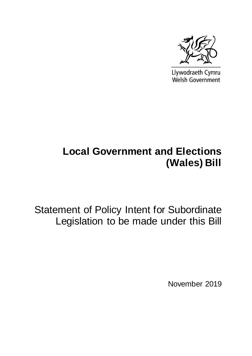

Llywodraeth Cymru Welsh Government

## **Local Government and Elections (Wales) Bill**

Statement of Policy Intent for Subordinate Legislation to be made under this Bill

November 2019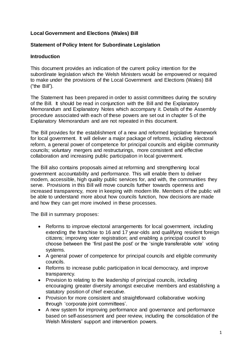## **Local Government and Elections (Wales) Bill**

## **Statement of Policy Intent for Subordinate Legislation**

## **Introduction**

This document provides an indication of the current policy intention for the subordinate legislation which the Welsh Ministers would be empowered or required to make under the provisions of the Local Government and Elections (Wales) Bill ("the Bill").

The Statement has been prepared in order to assist committees during the scrutiny of the Bill. It should be read in conjunction with the Bill and the Explanatory Memorandum and Explanatory Notes which accompany it. Details of the Assembly procedure associated with each of these powers are set out in chapter 5 of the Explanatory Memorandum and are not repeated in this document.

The Bill provides for the establishment of a new and reformed legislative framework for local government. It will deliver a major package of reforms, including electoral reform, a general power of competence for principal councils and eligible community councils; voluntary mergers and restructurings, more consistent and effective collaboration and increasing public participation in local government.

The Bill also contains proposals aimed at reforming and strengthening local government accountability and performance. This will enable them to deliver modern, accessible, high quality public services for, and with, the communities they serve. Provisions in this Bill will move councils further towards openness and increased transparency, more in keeping with modern life. Members of the public will be able to understand more about how councils function, how decisions are made and how they can get more involved in these processes.

The Bill in summary proposes:

- Reforms to improve electoral arrangements for local government, including extending the franchise to 16 and 17 year-olds and qualifying resident foreign citizens; improving voter registration; and enabling a principal council to choose between the 'first past the post' or the 'single transferable vote' voting systems.
- A general power of competence for principal councils and eligible community councils.
- Reforms to increase public participation in local democracy, and improve transparency.
- Provision to relating to the leadership of principal councils, including encouraging greater diversity amongst executive members and establishing a statutory position of chief executive.
- Provision for more consistent and straightforward collaborative working through 'corporate joint committees'.
- A new system for improving performance and governance and performance based on self-assessment and peer review, including the consolidation of the Welsh Ministers' support and intervention powers.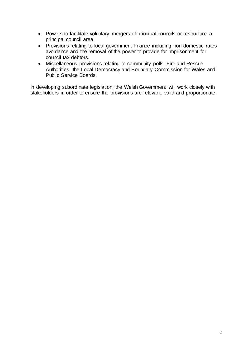- Powers to facilitate voluntary mergers of principal councils or restructure a principal council area.
- Provisions relating to local government finance including non-domestic rates avoidance and the removal of the power to provide for imprisonment for council tax debtors.
- Miscellaneous provisions relating to community polls, Fire and Rescue Authorities, the Local Democracy and Boundary Commission for Wales and Public Service Boards.

In developing subordinate legislation, the Welsh Government will work closely with stakeholders in order to ensure the provisions are relevant, valid and proportionate.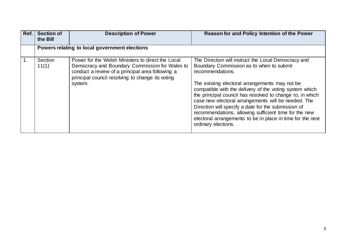| Ref. | <b>Section of</b><br>the Bill | <b>Description of Power</b>                                                                                                                                                                                            | Reason for and Policy Intention of the Power                                                                                                                                                                                                                                                                                                                                                                                                                                                                                                              |
|------|-------------------------------|------------------------------------------------------------------------------------------------------------------------------------------------------------------------------------------------------------------------|-----------------------------------------------------------------------------------------------------------------------------------------------------------------------------------------------------------------------------------------------------------------------------------------------------------------------------------------------------------------------------------------------------------------------------------------------------------------------------------------------------------------------------------------------------------|
|      |                               | Powers relating to local government elections                                                                                                                                                                          |                                                                                                                                                                                                                                                                                                                                                                                                                                                                                                                                                           |
| 1.   | Section<br>11(1)              | Power for the Welsh Ministers to direct the Local<br>Democracy and Boundary Commission for Wales to<br>conduct a review of a principal area following a<br>principal council resolving to change its voting<br>system. | The Direction will instruct the Local Democracy and<br>Boundary Commission as to when to submit<br>recommendations.<br>The existing electoral arrangements may not be<br>compatible with the delivery of the voting system which<br>the principal council has resolved to change to, in which<br>case new electoral arrangements will be needed. The<br>Direction will specify a date for the submission of<br>recommendations, allowing sufficient time for the new<br>electoral arrangements to be in place in time for the next<br>ordinary elections. |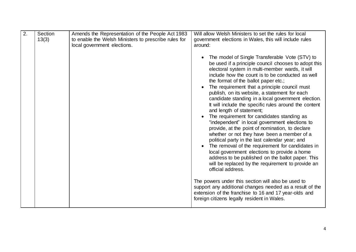| 2. | Section<br>13(3) | Amends the Representation of the People Act 1983<br>to enable the Welsh Ministers to prescribe rules for<br>local government elections. | Will allow Welsh Ministers to set the rules for local<br>government elections in Wales, this will include rules<br>around:                                                                                                                                                                                                                                                                                                                                                                                                                                                                                                                                                                                                                                                                                                                                                                                                                                                                |
|----|------------------|-----------------------------------------------------------------------------------------------------------------------------------------|-------------------------------------------------------------------------------------------------------------------------------------------------------------------------------------------------------------------------------------------------------------------------------------------------------------------------------------------------------------------------------------------------------------------------------------------------------------------------------------------------------------------------------------------------------------------------------------------------------------------------------------------------------------------------------------------------------------------------------------------------------------------------------------------------------------------------------------------------------------------------------------------------------------------------------------------------------------------------------------------|
|    |                  |                                                                                                                                         | The model of Single Transferable Vote (STV) to<br>be used if a principle council chooses to adopt this<br>electoral system in multi-member wards, it will<br>include how the count is to be conducted as well<br>the format of the ballot paper etc.;<br>The requirement that a principle council must<br>publish, on its website, a statement for each<br>candidate standing in a local government election.<br>It will include the specific rules around the content<br>and length of statement;<br>The requirement for candidates standing as<br>"independent" in local government elections to<br>provide, at the point of nomination, to declare<br>whether or not they have been a member of a<br>political party in the last calendar year; and<br>The removal of the requirement for candidates in<br>local government elections to provide a home<br>address to be published on the ballot paper. This<br>will be replaced by the requirement to provide an<br>official address. |
|    |                  |                                                                                                                                         | The powers under this section will also be used to<br>support any additional changes needed as a result of the<br>extension of the franchise to 16 and 17 year-olds and<br>foreign citizens legally resident in Wales.                                                                                                                                                                                                                                                                                                                                                                                                                                                                                                                                                                                                                                                                                                                                                                    |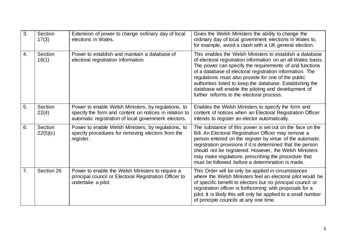| 3. | Section<br>17(3)    | Extension of power to change ordinary day of local<br>elections in Wales.                                                                                             | Gives the Welsh Ministers the ability to change the<br>ordinary day of local government elections in Wales to,<br>for example, avoid a clash with a UK general election.                                                                                                                                                                                                                                                                                                 |
|----|---------------------|-----------------------------------------------------------------------------------------------------------------------------------------------------------------------|--------------------------------------------------------------------------------------------------------------------------------------------------------------------------------------------------------------------------------------------------------------------------------------------------------------------------------------------------------------------------------------------------------------------------------------------------------------------------|
| 4. | Section<br>18(1)    | Power to establish and maintain a database of<br>electoral registration information.                                                                                  | This enables the Welsh Ministers to establish a database<br>of electoral registration information on an all-Wales basis.<br>The power can specify the requirements of and functions<br>of a database of electoral registration information. The<br>regulations must also provide for one of the public<br>authorities listed to keep the database. Establishing the<br>database will enable the piloting and development of<br>further reforms to the electoral process. |
| 5. | Section<br>22(4)    | Power to enable Welsh Ministers, by regulations, to<br>specify the form and content on notices in relation to<br>automatic registration of local government electors. | Enables the Welsh Ministers to specify the form and<br>content of notices when an Electoral Registration Officer<br>intends to register an elector automatically.                                                                                                                                                                                                                                                                                                        |
| 6. | Section<br>22(5)(c) | Power to enable Welsh Ministers, by regulations, to<br>specify procedures for removing electors from the<br>register.                                                 | The substance of this power is set out on the face on the<br>Bill. An Electoral Registration Officer may remove a<br>person entered on the register by virtue of the automatic<br>registration provisions if it is determined that the person<br>should not be registered. However, the Welsh Ministers<br>may make regulations prescribing the procedure that<br>must be followed before a determination is made.                                                       |
| 7. | Section 26          | Power to enable the Welsh Ministers to require a<br>principal council or Electoral Registration Officer to<br>undertake a pilot.                                      | This Order will be only be applied in circumstances<br>where the Welsh Ministers feel an electoral pilot would be<br>of specific benefit to electors but no principal council or<br>registration officer is forthcoming with proposals for a<br>pilot. It is likely this will only be applied to a small number<br>of principle councils at any one time.                                                                                                                |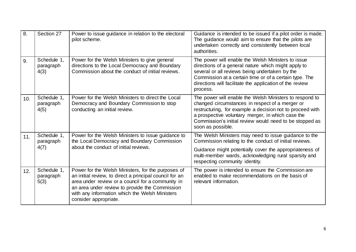| 8.  | Section 27                       | Power to issue guidance in relation to the electoral<br>pilot scheme.                                                                                                                                                                                                                           | Guidance is intended to be issued if a pilot order is made.<br>The guidance would aim to ensure that the pilots are<br>undertaken correctly and consistently between local<br>authorities.                                                                                                                   |
|-----|----------------------------------|-------------------------------------------------------------------------------------------------------------------------------------------------------------------------------------------------------------------------------------------------------------------------------------------------|--------------------------------------------------------------------------------------------------------------------------------------------------------------------------------------------------------------------------------------------------------------------------------------------------------------|
| 9.  | Schedule 1,<br>paragraph<br>4(3) | Power for the Welsh Ministers to give general<br>directions to the Local Democracy and Boundary<br>Commission about the conduct of initial reviews.                                                                                                                                             | The power will enable the Welsh Ministers to issue<br>directions of a general nature which might apply to<br>several or all reviews being undertaken by the<br>Commission at a certain time or of a certain type. The<br>directions will facilitate the application of the review<br>process.                |
| 10. | Schedule 1,<br>paragraph<br>4(5) | Power for the Welsh Ministers to direct the Local<br>Democracy and Boundary Commission to stop<br>conducting an initial review.                                                                                                                                                                 | The power will enable the Welsh Ministers to respond to<br>changed circumstances in respect of a merger or<br>restructuring, for example a decision not to proceed with<br>a prospective voluntary merger, in which case the<br>Commission's initial review would need to be stopped as<br>soon as possible. |
| 11. | Schedule 1,<br>paragraph         | Power for the Welsh Ministers to issue guidance to<br>the Local Democracy and Boundary Commission                                                                                                                                                                                               | The Welsh Ministers may need to issue guidance to the<br>Commission relating to the conduct of initial reviews.                                                                                                                                                                                              |
|     | 4(7)                             | about the conduct of initial reviews.                                                                                                                                                                                                                                                           | Guidance might potentially cover the appropriateness of<br>multi-member wards, acknowledging rural sparsity and<br>respecting community identity.                                                                                                                                                            |
| 12. | Schedule 1,<br>paragraph<br>5(3) | Power for the Welsh Ministers, for the purposes of<br>an initial review, to direct a principal council for an<br>area under review or a council for a community in<br>an area under review to provide the Commission<br>with any information which the Welsh Ministers<br>consider appropriate. | The power is intended to ensure the Commission are<br>enabled to make recommendations on the basis of<br>relevant information.                                                                                                                                                                               |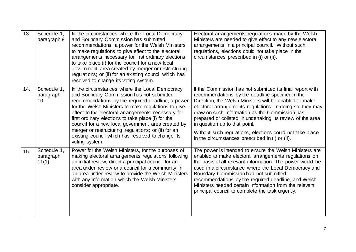| 13. | Schedule 1,<br>paragraph 9        | In the circumstances where the Local Democracy<br>and Boundary Commission has submitted<br>recommendations, a power for the Welsh Ministers<br>to make regulations to give effect to the electoral<br>arrangements necessary for first ordinary elections<br>to take place (i) for the council for a new local<br>government area created by merger or restructuring<br>regulations; or (ii) for an existing council which has<br>resolved to change its voting system.                                 | Electoral arrangements regulations made by the Welsh<br>Ministers are needed to give effect to any new electoral<br>arrangements in a principal council. Without such<br>regulations, elections could not take place in the<br>circumstances prescribed in (i) or (ii).                                                                                                                                                                                                                              |
|-----|-----------------------------------|---------------------------------------------------------------------------------------------------------------------------------------------------------------------------------------------------------------------------------------------------------------------------------------------------------------------------------------------------------------------------------------------------------------------------------------------------------------------------------------------------------|------------------------------------------------------------------------------------------------------------------------------------------------------------------------------------------------------------------------------------------------------------------------------------------------------------------------------------------------------------------------------------------------------------------------------------------------------------------------------------------------------|
| 14. | Schedule 1.<br>paragraph<br>10    | In the circumstances where the Local Democracy<br>and Boundary Commission has not submitted<br>recommendations by the required deadline, a power<br>for the Welsh Ministers to make regulations to give<br>effect to the electoral arrangements necessary for<br>first ordinary elections to take place (i) for the<br>council for a new local government area created by<br>merger or restructuring regulations; or (ii) for an<br>existing council which has resolved to change its<br>voting system. | If the Commission has not submitted its final report with<br>recommendations by the deadline specified in the<br>Direction, the Welsh Ministers will be enabled to make<br>electoral arrangements regulations; in doing so, they may<br>draw on such information as the Commission has<br>prepared or collated in undertaking its review of the area<br>in question up to that point.<br>Without such regulations, elections could not take place<br>in the circumstances prescribed in (i) or (ii). |
| 15. | Schedule 1,<br>paragraph<br>11(1) | Power for the Welsh Ministers, for the purposes of<br>making electoral arrangements regulations following<br>an initial review, direct a principal council for an<br>area under review or a council for a community in<br>an area under review to provide the Welsh Ministers<br>with any information which the Welsh Ministers<br>consider appropriate.                                                                                                                                                | The power is intended to ensure the Welsh Ministers are<br>enabled to make electoral arrangements regulations on<br>the basis of all relevant information. The power would be<br>used in a circumstance where the Local Democracy and<br>Boundary Commission had not submitted<br>recommendations by the required deadline, and Welsh<br>Ministers needed certain information from the relevant<br>principal council to complete the task urgently.                                                  |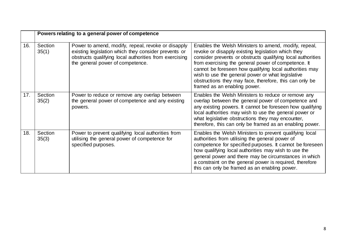|     | Powers relating to a general power of competence |                                                                                                                                                                                                          |                                                                                                                                                                                                                                                                                                                                                                                                                                              |
|-----|--------------------------------------------------|----------------------------------------------------------------------------------------------------------------------------------------------------------------------------------------------------------|----------------------------------------------------------------------------------------------------------------------------------------------------------------------------------------------------------------------------------------------------------------------------------------------------------------------------------------------------------------------------------------------------------------------------------------------|
| 16. | Section<br>35(1)                                 | Power to amend, modify, repeal, revoke or disapply<br>existing legislation which they consider prevents or<br>obstructs qualifying local authorities from exercising<br>the general power of competence. | Enables the Welsh Ministers to amend, modify, repeal,<br>revoke or disapply existing legislation which they<br>consider prevents or obstructs qualifying local authorities<br>from exercising the general power of competence. It<br>cannot be foreseen how qualifying local authorities may<br>wish to use the general power or what legislative<br>obstructions they may face, therefore, this can only be<br>framed as an enabling power. |
| 17. | Section<br>35(2)                                 | Power to reduce or remove any overlap between<br>the general power of competence and any existing<br>powers.                                                                                             | Enables the Welsh Ministers to reduce or remove any<br>overlap between the general power of competence and<br>any existing powers. It cannot be foreseen how qualifying<br>local authorities may wish to use the general power or<br>what legislative obstructions they may encounter,<br>therefore, this can only be framed as an enabling power.                                                                                           |
| 18. | Section<br>35(3)                                 | Power to prevent qualifying local authorities from<br>utilising the general power of competence for<br>specified purposes.                                                                               | Enables the Welsh Ministers to prevent qualifying local<br>authorities from utilising the general power of<br>competence for specified purposes. It cannot be foreseen<br>how qualifying local authorities may wish to use the<br>general power and there may be circumstances in which<br>a constraint on the general power is required, therefore<br>this can only be framed as an enabling power.                                         |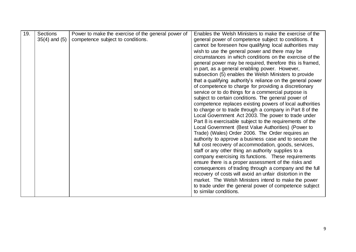| 19. | <b>Sections</b>   | Power to make the exercise of the general power of | Enables the Welsh Ministers to make the exercise of the                                                    |
|-----|-------------------|----------------------------------------------------|------------------------------------------------------------------------------------------------------------|
|     | $35(4)$ and $(5)$ | competence subject to conditions.                  | general power of competence subject to conditions. It                                                      |
|     |                   |                                                    | cannot be foreseen how qualifying local authorities may                                                    |
|     |                   |                                                    | wish to use the general power and there may be                                                             |
|     |                   |                                                    | circumstances in which conditions on the exercise of the                                                   |
|     |                   |                                                    | general power may be required, therefore this is framed,                                                   |
|     |                   |                                                    | in part, as a general enabling power. However,                                                             |
|     |                   |                                                    | subsection (5) enables the Welsh Ministers to provide                                                      |
|     |                   |                                                    | that a qualifying authority's reliance on the general power                                                |
|     |                   |                                                    | of competence to charge for providing a discretionary                                                      |
|     |                   |                                                    | service or to do things for a commercial purpose is<br>subject to certain conditions. The general power of |
|     |                   |                                                    | competence replaces existing powers of local authorities                                                   |
|     |                   |                                                    | to charge or to trade through a company in Part 8 of the                                                   |
|     |                   |                                                    | Local Government Act 2003. The power to trade under                                                        |
|     |                   |                                                    | Part 8 is exercisable subject to the requirements of the                                                   |
|     |                   |                                                    | Local Government (Best Value Authorities) (Power to                                                        |
|     |                   |                                                    | Trade) (Wales) Order 2006. The Order requires an                                                           |
|     |                   |                                                    | authority to approve a business case and to secure the                                                     |
|     |                   |                                                    | full cost recovery of accommodation, goods, services,                                                      |
|     |                   |                                                    | staff or any other thing an authority supplies to a                                                        |
|     |                   |                                                    | company exercising its functions. These requirements                                                       |
|     |                   |                                                    | ensure there is a proper assessment of the risks and                                                       |
|     |                   |                                                    | consequences of trading through a company and the full                                                     |
|     |                   |                                                    | recovery of costs will avoid an unfair distortion in the                                                   |
|     |                   |                                                    | market. The Welsh Ministers intend to make the power                                                       |
|     |                   |                                                    | to trade under the general power of competence subject                                                     |
|     |                   |                                                    | to similar conditions.                                                                                     |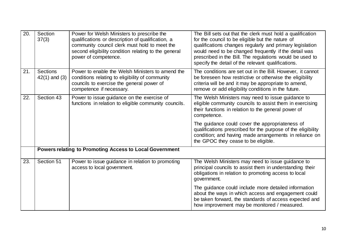| 20. | Section<br>37(3)              | Power for Welsh Ministers to prescribe the<br>qualifications or description of qualification, a<br>community council clerk must hold to meet the<br>second eligibility condition relating to the general<br>power of competence. | The Bill sets out that the clerk must hold a qualification<br>for the council to be eligible but the nature of<br>qualifications changes regularly and primary legislation<br>would need to be changed frequently if the detail was<br>prescribed in the Bill. The regulations would be used to<br>specify the detail of the relevant qualifications. |
|-----|-------------------------------|----------------------------------------------------------------------------------------------------------------------------------------------------------------------------------------------------------------------------------|-------------------------------------------------------------------------------------------------------------------------------------------------------------------------------------------------------------------------------------------------------------------------------------------------------------------------------------------------------|
| 21. | Sections<br>$42(1)$ and $(3)$ | Power to enable the Welsh Ministers to amend the<br>conditions relating to eligibility of community<br>councils to exercise the general power of<br>competence if necessary.                                                     | The conditions are set out in the Bill. However, it cannot<br>be foreseen how restrictive or otherwise the eligibility<br>criteria will be and it may be appropriate to amend,<br>remove or add eligibility conditions in the future.                                                                                                                 |
| 22. | Section 43                    | Power to issue guidance on the exercise of<br>functions in relation to eligible community councils.                                                                                                                              | The Welsh Ministers may need to issue guidance to<br>eligible community councils to assist them in exercising<br>their functions in relation to the general power of<br>competence.                                                                                                                                                                   |
|     |                               |                                                                                                                                                                                                                                  | The guidance could cover the appropriateness of<br>qualifications prescribed for the purpose of the eligibility<br>condition; and having made arrangements in reliance on<br>the GPOC they cease to be eligible.                                                                                                                                      |
|     |                               | Powers relating to Promoting Access to Local Government                                                                                                                                                                          |                                                                                                                                                                                                                                                                                                                                                       |
| 23. | Section 51                    | Power to issue guidance in relation to promoting<br>access to local government.                                                                                                                                                  | The Welsh Ministers may need to issue guidance to<br>principal councils to assist them in understanding their<br>obligations in relation to promoting access to local<br>government.                                                                                                                                                                  |
|     |                               |                                                                                                                                                                                                                                  | The guidance could include more detailed information<br>about the ways in which access and engagement could<br>be taken forward, the standards of access expected and<br>how improvement may be monitored / measured.                                                                                                                                 |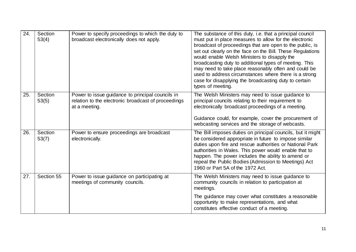| 24. | Section<br>53(4) | Power to specify proceedings to which the duty to<br>broadcast electronically does not apply.                            | The substance of this duty, i.e. that a principal council<br>must put in place measures to allow for the electronic<br>broadcast of proceedings that are open to the public, is<br>set out clearly on the face on the Bill. These Regulations<br>would enable Welsh Ministers to disapply the<br>broadcasting duty to additional types of meeting. This<br>may need to take place reasonably often and could be<br>used to address circumstances where there is a strong<br>case for disapplying the broadcasting duty to certain<br>types of meeting. |
|-----|------------------|--------------------------------------------------------------------------------------------------------------------------|--------------------------------------------------------------------------------------------------------------------------------------------------------------------------------------------------------------------------------------------------------------------------------------------------------------------------------------------------------------------------------------------------------------------------------------------------------------------------------------------------------------------------------------------------------|
| 25. | Section<br>53(5) | Power to issue guidance to principal councils in<br>relation to the electronic broadcast of proceedings<br>at a meeting. | The Welsh Ministers may need to issue guidance to<br>principal councils relating to their requirement to<br>electronically broadcast proceedings of a meeting.<br>Guidance could, for example, cover the procurement of<br>webcasting services and the storage of webcasts.                                                                                                                                                                                                                                                                            |
| 26. | Section<br>53(7) | Power to ensure proceedings are broadcast<br>electronically.                                                             | The Bill imposes duties on principal councils, but it might<br>be considered appropriate in future to impose similar<br>duties upon fire and rescue authorities or National Park<br>authorities in Wales. This power would enable that to<br>happen. The power includes the ability to amend or<br>repeal the Public Bodies (Admission to Meetings) Act<br>1960 or Part 5A of the 1972 Act.                                                                                                                                                            |
| 27. | Section 55       | Power to issue guidance on participating at<br>meetings of community councils.                                           | The Welsh Ministers may need to issue guidance to<br>community councils in relation to participation at<br>meetings.<br>The guidance may cover what constitutes a reasonable<br>opportunity to make representations, and what<br>constitutes effective conduct of a meeting.                                                                                                                                                                                                                                                                           |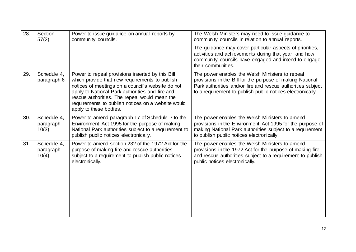| 28. | Section<br>57(2)                  | Power to issue guidance on annual reports by<br>community councils.                                                                                                                                                                                                                                                                         | The Welsh Ministers may need to issue guidance to<br>community councils in relation to annual reports.                                                                                                                                    |
|-----|-----------------------------------|---------------------------------------------------------------------------------------------------------------------------------------------------------------------------------------------------------------------------------------------------------------------------------------------------------------------------------------------|-------------------------------------------------------------------------------------------------------------------------------------------------------------------------------------------------------------------------------------------|
|     |                                   |                                                                                                                                                                                                                                                                                                                                             | The guidance may cover particular aspects of priorities,<br>activities and achievements during that year; and how<br>community councils have engaged and intend to engage<br>their communities.                                           |
| 29. | Schedule 4,<br>paragraph 6        | Power to repeal provisions inserted by this Bill<br>which provide that new requirements to publish<br>notices of meetings on a council's website do not<br>apply to National Park authorities and fire and<br>rescue authorities. The repeal would mean the<br>requirements to publish notices on a website would<br>apply to these bodies. | The power enables the Welsh Ministers to repeal<br>provisions in the Bill for the purpose of making National<br>Park authorities and/or fire and rescue authorities subject<br>to a requirement to publish public notices electronically. |
| 30. | Schedule 4,<br>paragraph<br>10(3) | Power to amend paragraph 17 of Schedule 7 to the<br>Environment Act 1995 for the purpose of making<br>National Park authorities subject to a requirement to<br>publish public notices electronically.                                                                                                                                       | The power enables the Welsh Ministers to amend<br>provisions in the Environment Act 1995 for the purpose of<br>making National Park authorities subject to a requirement<br>to publish public notices electronically.                     |
| 31. | Schedule 4,<br>paragraph<br>10(4) | Power to amend section 232 of the 1972 Act for the<br>purpose of making fire and rescue authorities<br>subject to a requirement to publish public notices<br>electronically.                                                                                                                                                                | The power enables the Welsh Ministers to amend<br>provisions in the 1972 Act for the purpose of making fire<br>and rescue authorities subject to a requirement to publish<br>public notices electronically.                               |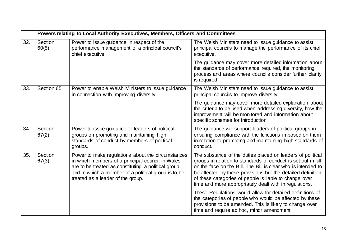|     |                  | Powers relating to Local Authority Executives, Members, Officers and Committees                                                                                                                                                                          |                                                                                                                                                                                                                                                                                                                                                                                 |
|-----|------------------|----------------------------------------------------------------------------------------------------------------------------------------------------------------------------------------------------------------------------------------------------------|---------------------------------------------------------------------------------------------------------------------------------------------------------------------------------------------------------------------------------------------------------------------------------------------------------------------------------------------------------------------------------|
| 32. | Section<br>60(5) | Power to issue guidance in respect of the<br>performance management of a principal council's<br>chief executive.                                                                                                                                         | The Welsh Ministers need to issue guidance to assist<br>principal councils to manage the performance of its chief<br>executive.                                                                                                                                                                                                                                                 |
|     |                  |                                                                                                                                                                                                                                                          | The guidance may cover more detailed information about<br>the standards of performance required, the monitoring<br>process and areas where councils consider further clarity<br>is required.                                                                                                                                                                                    |
| 33. | Section 65       | Power to enable Welsh Ministers to issue guidance<br>in connection with improving diversity.                                                                                                                                                             | The Welsh Ministers need to issue guidance to assist<br>principal councils to improve diversity.                                                                                                                                                                                                                                                                                |
|     |                  |                                                                                                                                                                                                                                                          | The guidance may cover more detailed explanation about<br>the criteria to be used when addressing diversity, how the<br>improvement will be monitored and information about<br>specific schemes for introduction.                                                                                                                                                               |
| 34. | Section<br>67(2) | Power to issue guidance to leaders of political<br>groups on promoting and maintaining high<br>standards of conduct by members of political<br>groups.                                                                                                   | The guidance will support leaders of political groups in<br>ensuring compliance with the functions imposed on them<br>in relation to promoting and maintaining high standards of<br>conduct.                                                                                                                                                                                    |
| 35. | Section<br>67(3) | Power to make regulations about the circumstances<br>in which members of a principal council in Wales<br>are to be treated as constituting a political group<br>and in which a member of a political group is to be<br>treated as a leader of the group. | The substance of the duties placed on leaders of political<br>groups in relation to standards of conduct is set out in full<br>on the face on the Bill. The Bill is clear who is intended to<br>be affected by these provisions but the detailed definition<br>of these categories of people is liable to change over<br>time and more appropriately dealt with in regulations. |
|     |                  |                                                                                                                                                                                                                                                          | These Regulations would allow for detailed definitions of<br>the categories of people who would be affected by these<br>provisions to be amended. This is likely to change over<br>time and require ad hoc, minor amendment.                                                                                                                                                    |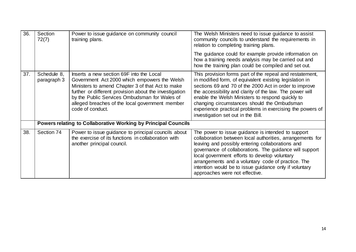| 36. | Section<br>72(7)           | Power to issue guidance on community council<br>training plans.                                                                                                                                                                                                                                                                | The Welsh Ministers need to issue guidance to assist<br>community councils to understand the requirements in<br>relation to completing training plans.                                                                                                                                                                                                                                                                                          |
|-----|----------------------------|--------------------------------------------------------------------------------------------------------------------------------------------------------------------------------------------------------------------------------------------------------------------------------------------------------------------------------|-------------------------------------------------------------------------------------------------------------------------------------------------------------------------------------------------------------------------------------------------------------------------------------------------------------------------------------------------------------------------------------------------------------------------------------------------|
|     |                            |                                                                                                                                                                                                                                                                                                                                | The guidance could for example provide information on<br>how a training needs analysis may be carried out and<br>how the training plan could be compiled and set out.                                                                                                                                                                                                                                                                           |
| 37. | Schedule 8,<br>paragraph 3 | Inserts a new section 69F into the Local<br>Government Act 2000 which empowers the Welsh<br>Ministers to amend Chapter 3 of that Act to make<br>further or different provision about the investigation<br>by the Public Services Ombudsman for Wales of<br>alleged breaches of the local government member<br>code of conduct. | This provision forms part of the repeal and restatement,<br>in modified form, of equivalent existing legislation in<br>sections 69 and 70 of the 2000 Act in order to improve<br>the accessibility and clarity of the law. The power will<br>enable the Welsh Ministers to respond quickly to<br>changing circumstances should the Ombudsman<br>experience practical problems in exercising the powers of<br>investigation set out in the Bill. |
|     |                            | <b>Powers relating to Collaborative Working by Principal Councils</b>                                                                                                                                                                                                                                                          |                                                                                                                                                                                                                                                                                                                                                                                                                                                 |
| 38. | Section 74                 | Power to issue guidance to principal councils about<br>the exercise of its functions in collaboration with<br>another principal council.                                                                                                                                                                                       | The power to issue guidance is intended to support<br>collaboration between local authorities, arrangements for<br>leaving and possibly entering collaborations and<br>governance of collaborations. The guidance will support<br>local government efforts to develop voluntary<br>arrangements and a voluntary code of practice. The<br>intention would be to issue guidance only if voluntary<br>approaches were not effective.               |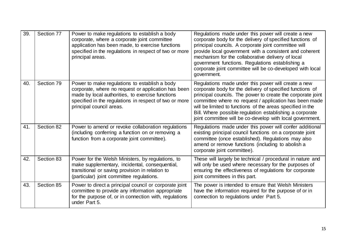| 39. | Section 77 | Power to make regulations to establish a body<br>corporate, where a corporate joint committee<br>application has been made, to exercise functions<br>specified in the regulations in respect of two or more<br>principal areas.                | Regulations made under this power will create a new<br>corporate body for the delivery of specified functions of<br>principal councils. A corporate joint committee will<br>provide local government with a consistent and coherent<br>mechanism for the collaborative delivery of local<br>government functions. Regulations establishing a<br>corporate joint committee will be co-developed with local<br>government.         |
|-----|------------|------------------------------------------------------------------------------------------------------------------------------------------------------------------------------------------------------------------------------------------------|----------------------------------------------------------------------------------------------------------------------------------------------------------------------------------------------------------------------------------------------------------------------------------------------------------------------------------------------------------------------------------------------------------------------------------|
| 40. | Section 79 | Power to make regulations to establish a body<br>corporate, where no request or application has been<br>made by local authorities, to exercise functions<br>specified in the regulations in respect of two or more<br>principal council areas. | Regulations made under this power will create a new<br>corporate body for the delivery of specified functions of<br>principal councils. The power to create the corporate joint<br>committee where no request / application has been made<br>will be limited to functions of the areas specified in the<br>Bill. Where possible regulation establishing a corporate<br>joint committee will be co-develop with local government. |
| 41. | Section 82 | Power to amend or revoke collaboration regulations<br>(including conferring a function on or removing a<br>function from a corporate joint committee).                                                                                         | Regulations made under this power will confer additional<br>existing principal council functions on a corporate joint<br>committee (once established). Regulations may also<br>amend or remove functions (including to abolish a<br>corporate joint committee).                                                                                                                                                                  |
| 42. | Section 83 | Power for the Welsh Ministers, by regulations, to<br>make supplementary, incidental, consequential,<br>transitional or saving provision in relation to<br>(particular) joint committee regulations.                                            | These will largely be technical / procedural in nature and<br>will only be used where necessary for the purposes of<br>ensuring the effectiveness of regulations for corporate<br>joint committees in this part.                                                                                                                                                                                                                 |
| 43. | Section 85 | Power to direct a principal council or corporate joint<br>committee to provide any information appropriate<br>for the purpose of, or in connection with, regulations<br>under Part 5.                                                          | The power is intended to ensure that Welsh Ministers<br>have the information required for the purpose of or in<br>connection to regulations under Part 5.                                                                                                                                                                                                                                                                        |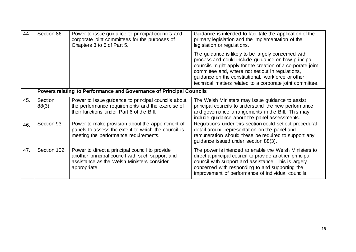| 44. | Section 86       | Power to issue guidance to principal councils and<br>corporate joint committees for the purposes of<br>Chapters 3 to 5 of Part 5.                               | Guidance is intended to facilitate the application of the<br>primary legislation and the implementation of the<br>legislation or regulations.                                                                                                                                                                                                   |
|-----|------------------|-----------------------------------------------------------------------------------------------------------------------------------------------------------------|-------------------------------------------------------------------------------------------------------------------------------------------------------------------------------------------------------------------------------------------------------------------------------------------------------------------------------------------------|
|     |                  |                                                                                                                                                                 | The guidance is likely to be largely concerned with<br>process and could include guidance on how principal<br>councils might apply for the creation of a corporate joint<br>committee and, where not set out in regulations,<br>guidance on the constitutional, workforce or other<br>technical matters related to a corporate joint committee. |
|     |                  | Powers relating to Performance and Governance of Principal Councils                                                                                             |                                                                                                                                                                                                                                                                                                                                                 |
| 45. | Section<br>88(3) | Power to issue guidance to principal councils about<br>the performance requirements and the exercise of<br>their functions under Part 6 of the Bill.            | The Welsh Ministers may issue guidance to assist<br>principal councils to understand the new performance<br>and governance arrangements in the Bill. This may<br>include guidance about the panel assessments.                                                                                                                                  |
| 46. | Section 93       | Power to make provision about the appointment of<br>panels to assess the extent to which the council is<br>meeting the performance requirements.                | Regulations under this section could set out procedural<br>detail around representation on the panel and<br>remuneration should these be required to support any<br>guidance issued under section 88(3).                                                                                                                                        |
| 47. | Section 102      | Power to direct a principal council to provide<br>another principal council with such support and<br>assistance as the Welsh Ministers consider<br>appropriate. | The power is intended to enable the Welsh Ministers to<br>direct a principal council to provide another principal<br>council with support and assistance. This is largely<br>concerned with responding to and supporting the<br>improvement of performance of individual councils.                                                              |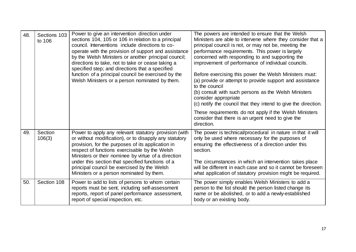| 48. | Sections 103<br>to 106 | Power to give an intervention direction under<br>sections 104, 105 or 106 in relation to a principal<br>council. Interventions include directions to co-<br>operate with the provision of support and assistance<br>by the Welsh Ministers or another principal council;<br>directions to take, not to take or cease taking a<br>specified step; and directions that a specified<br>function of a principal council be exercised by the<br>Welsh Ministers or a person nominated by them. | The powers are intended to ensure that the Welsh<br>Ministers are able to intervene where they consider that a<br>principal council is not, or may not be, meeting the<br>performance requirements. This power is largely<br>concerned with responding to and supporting the<br>improvement of performance of individual councils.<br>Before exercising this power the Welsh Ministers must:<br>(a) provide or attempt to provide support and assistance<br>to the council<br>(b) consult with such persons as the Welsh Ministers<br>consider appropriate<br>(c) notify the council that they intend to give the direction.<br>These requirements do not apply if the Welsh Ministers<br>consider that there is an urgent need to give the<br>direction. |
|-----|------------------------|-------------------------------------------------------------------------------------------------------------------------------------------------------------------------------------------------------------------------------------------------------------------------------------------------------------------------------------------------------------------------------------------------------------------------------------------------------------------------------------------|-----------------------------------------------------------------------------------------------------------------------------------------------------------------------------------------------------------------------------------------------------------------------------------------------------------------------------------------------------------------------------------------------------------------------------------------------------------------------------------------------------------------------------------------------------------------------------------------------------------------------------------------------------------------------------------------------------------------------------------------------------------|
| 49. | Section<br>106(3)      | Power to apply any relevant statutory provision (with<br>or without modification), or to disapply any statutory<br>provision, for the purposes of its application in<br>respect of functions exercisable by the Welsh<br>Ministers or their nominee by virtue of a direction<br>under this section that specified functions of a<br>principal council be exercised by the Welsh<br>Ministers or a person nominated by them.                                                               | The power is technical/procedural in nature in that it will<br>only be used where necessary for the purposes of<br>ensuring the effectiveness of a direction under this<br>section.<br>The circumstances in which an intervention takes place<br>will be different in each case and so it cannot be foreseen<br>what application of statutory provision might be required.                                                                                                                                                                                                                                                                                                                                                                                |
| 50. | Section 108            | Power to add to lists of persons to whom certain<br>reports must be sent, including self-assessment<br>reports, report of panel performance assessment,<br>report of special inspection, etc.                                                                                                                                                                                                                                                                                             | The power simply enables Welsh Ministers to add a<br>person to the list should the person listed change its<br>name or be abolished, or to add a newly-established<br>body or an existing body.                                                                                                                                                                                                                                                                                                                                                                                                                                                                                                                                                           |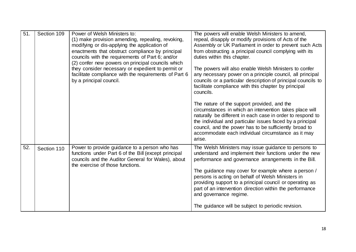| 51. | Section 109 | Power of Welsh Ministers to:<br>(1) make provision amending, repealing, revoking,<br>modifying or dis-applying the application of<br>enactments that obstruct compliance by principal<br>councils with the requirements of Part 6; and/or<br>(2) confer new powers on principal councils which<br>they consider necessary or expedient to permit or<br>facilitate compliance with the requirements of Part 6<br>by a principal council. | The powers will enable Welsh Ministers to amend,<br>repeal, disapply or modify provisions of Acts of the<br>Assembly or UK Parliament in order to prevent such Acts<br>from obstructing a principal council complying with its<br>duties within this chapter.<br>The powers will also enable Welsh Ministers to confer<br>any necessary power on a principle council, all principal<br>councils or a particular description of principal councils to<br>facilitate compliance with this chapter by principal<br>councils.<br>The nature of the support provided, and the<br>circumstances in which an intervention takes place will<br>naturally be different in each case in order to respond to<br>the individual and particular issues faced by a principal<br>council, and the power has to be sufficiently broad to<br>accommodate each individual circumstance as it may<br>arise. |
|-----|-------------|-----------------------------------------------------------------------------------------------------------------------------------------------------------------------------------------------------------------------------------------------------------------------------------------------------------------------------------------------------------------------------------------------------------------------------------------|------------------------------------------------------------------------------------------------------------------------------------------------------------------------------------------------------------------------------------------------------------------------------------------------------------------------------------------------------------------------------------------------------------------------------------------------------------------------------------------------------------------------------------------------------------------------------------------------------------------------------------------------------------------------------------------------------------------------------------------------------------------------------------------------------------------------------------------------------------------------------------------|
| 52. | Section 110 | Power to provide guidance to a person who has<br>functions under Part 6 of the Bill (except principal<br>councils and the Auditor General for Wales), about<br>the exercise of those functions.                                                                                                                                                                                                                                         | The Welsh Ministers may issue guidance to persons to<br>understand and implement their functions under the new<br>performance and governance arrangements in the Bill.<br>The guidance may cover for example where a person /<br>persons is acting on behalf of Welsh Ministers in<br>providing support to a principal council or operating as<br>part of an intervention direction within the performance<br>and governance regime.<br>The guidance will be subject to periodic revision.                                                                                                                                                                                                                                                                                                                                                                                               |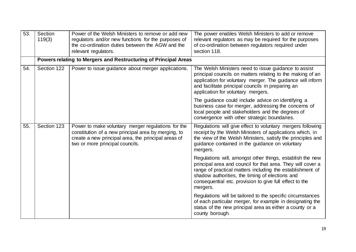| 53. | Section<br>119(3) | Power of the Welsh Ministers to remove or add new<br>regulators and/or new functions for the purposes of<br>the co-ordination duties between the AGW and the<br>relevant regulators.                | The power enables Welsh Ministers to add or remove<br>relevant regulators as may be required for the purposes<br>of co-ordination between regulators required under<br>section 118.                                                                                                                             |
|-----|-------------------|-----------------------------------------------------------------------------------------------------------------------------------------------------------------------------------------------------|-----------------------------------------------------------------------------------------------------------------------------------------------------------------------------------------------------------------------------------------------------------------------------------------------------------------|
|     |                   | Powers relating to Mergers and Restructuring of Principal Areas                                                                                                                                     |                                                                                                                                                                                                                                                                                                                 |
| 54. | Section 122       | Power to issue guidance about merger applications.                                                                                                                                                  | The Welsh Ministers need to issue guidance to assist<br>principal councils on matters relating to the making of an<br>application for voluntary merger. The guidance will inform<br>and facilitate principal councils in preparing an<br>application for voluntary mergers.                                     |
|     |                   |                                                                                                                                                                                                     | The guidance could include advice on identifying a<br>business case for merger, addressing the concerns of<br>local people and stakeholders and the degrees of<br>convergence with other strategic boundaries.                                                                                                  |
| 55. | Section 123       | Power to make voluntary merger regulations for the<br>constitution of a new principal area by merging, to<br>create a new principal area, the principal areas of<br>two or more principal councils. | Regulations will give effect to voluntary mergers following<br>receipt by the Welsh Ministers of applications which, in<br>the view of the Welsh Ministers, satisfy the principles and<br>guidance contained in the guidance on voluntary<br>mergers.                                                           |
|     |                   |                                                                                                                                                                                                     | Regulations will, amongst other things, establish the new<br>principal area and council for that area. They will cover a<br>range of practical matters including the establishment of<br>shadow authorities, the timing of elections and<br>consequential etc. provision to give full effect to the<br>mergers. |
|     |                   |                                                                                                                                                                                                     | Regulations will be tailored to the specific circumstances<br>of each particular merger, for example in designating the<br>status of the new principal area as either a county or a<br>county borough.                                                                                                          |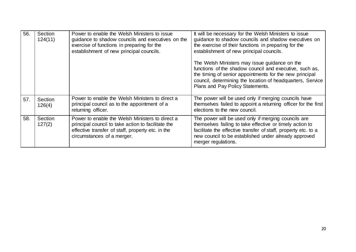| 56. | Section<br>124(11) | Power to enable the Welsh Ministers to issue<br>guidance to shadow councils and executives on the<br>exercise of functions in preparing for the<br>establishment of new principal councils. | It will be necessary for the Welsh Ministers to issue<br>guidance to shadow councils and shadow executives on<br>the exercise of their functions in preparing for the<br>establishment of new principal councils.<br>The Welsh Ministers may issue guidance on the<br>functions of the shadow council and executive, such as,<br>the timing of senior appointments for the new principal<br>council, determining the location of headquarters, Service<br>Plans and Pay Policy Statements. |
|-----|--------------------|---------------------------------------------------------------------------------------------------------------------------------------------------------------------------------------------|--------------------------------------------------------------------------------------------------------------------------------------------------------------------------------------------------------------------------------------------------------------------------------------------------------------------------------------------------------------------------------------------------------------------------------------------------------------------------------------------|
| 57. | Section<br>126(4)  | Power to enable the Welsh Ministers to direct a<br>principal council as to the appointment of a<br>returning officer.                                                                       | The power will be used only if merging councils have<br>themselves failed to appoint a returning officer for the first<br>elections to the new council.                                                                                                                                                                                                                                                                                                                                    |
| 58. | Section<br>127(2)  | Power to enable the Welsh Ministers to direct a<br>principal council to take action to facilitate the<br>effective transfer of staff, property etc. in the<br>circumstances of a merger.    | The power will be used only if merging councils are<br>themselves failing to take effective or timely action to<br>facilitate the effective transfer of staff, property etc. to a<br>new council to be established under already approved<br>merger regulations.                                                                                                                                                                                                                           |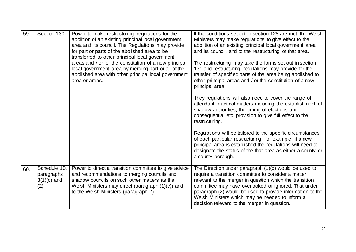| 59. | Section 130                                        | Power to make restructuring regulations for the<br>abolition of an existing principal local government<br>area and its council. The Regulations may provide<br>for part or parts of the abolished area to be<br>transferred to other principal local government | If the conditions set out in section 128 are met, the Welsh<br>Ministers may make regulations to give effect to the<br>abolition of an existing principal local government area<br>and its council, and to the restructuring of that area.                                                                                                                                                        |
|-----|----------------------------------------------------|-----------------------------------------------------------------------------------------------------------------------------------------------------------------------------------------------------------------------------------------------------------------|---------------------------------------------------------------------------------------------------------------------------------------------------------------------------------------------------------------------------------------------------------------------------------------------------------------------------------------------------------------------------------------------------|
|     |                                                    | areas and / or for the constitution of a new principal<br>local government area by merging part or all of the<br>abolished area with other principal local government<br>area or areas.                                                                         | The restructuring may take the forms set out in section<br>131 and restructuring regulations may provide for the<br>transfer of specified parts of the area being abolished to<br>other principal areas and / or the constitution of a new<br>principal area.                                                                                                                                     |
|     |                                                    |                                                                                                                                                                                                                                                                 | They regulations will also need to cover the range of<br>attendant practical matters including the establishment of<br>shadow authorities, the timing of elections and<br>consequential etc. provision to give full effect to the<br>restructuring.                                                                                                                                               |
|     |                                                    |                                                                                                                                                                                                                                                                 | Regulations will be tailored to the specific circumstances<br>of each particular restructuring, for example, if a new<br>principal area is established the regulations will need to<br>designate the status of the that area as either a county or<br>a county borough.                                                                                                                           |
| 60. | Schedule 10,<br>paragraphs<br>$3(1)(c)$ and<br>(2) | Power to direct a transition committee to give advice<br>and recommendations to merging councils and<br>shadow councils on such other matters as the<br>Welsh Ministers may direct (paragraph (1)(c)) and<br>to the Welsh Ministers (paragraph 2).              | The Direction under paragraph $(1)(c)$ would be used to<br>require a transition committee to consider a matter<br>relevant to the merger in question which the transition<br>committee may have overlooked or ignored. That under<br>paragraph (2) would be used to provide information to the<br>Welsh Ministers which may be needed to inform a<br>decision relevant to the merger in question. |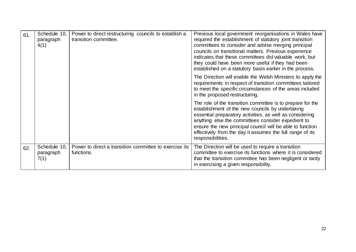| 61. | Schedule 10,<br>paragraph<br>4(1) | Power to direct restructuring councils to establish a<br>transition committee. | Previous local government reorganisations in Wales have<br>required the establishment of statutory joint transition<br>committees to consider and advise merging principal<br>councils on transitional matters. Previous experience<br>indicates that these committees did valuable work, but<br>they could have been more useful if they had been<br>established on a statutory basis earlier in the process. |
|-----|-----------------------------------|--------------------------------------------------------------------------------|----------------------------------------------------------------------------------------------------------------------------------------------------------------------------------------------------------------------------------------------------------------------------------------------------------------------------------------------------------------------------------------------------------------|
|     |                                   |                                                                                | The Direction will enable the Welsh Ministers to apply the<br>requirements in respect of transition committees tailored<br>to meet the specific circumstances of the areas included<br>in the proposed restructuring.                                                                                                                                                                                          |
|     |                                   |                                                                                | The role of the transition committee is to prepare for the<br>establishment of the new councils by undertaking<br>essential preparatory activities, as well as considering<br>anything else the committees consider expedient to<br>ensure the new principal council will be able to function<br>effectively from the day it assumes the full range of its<br>responsibilities.                                |
| 62. | Schedule 10,<br>paragraph<br>7(1) | Power to direct a transition committee to exercise its<br>functions.           | The Direction will be used to require a transition<br>committee to exercise its functions where it is considered<br>that the transition committee has been negligent or tardy<br>in exercising a given responsibility.                                                                                                                                                                                         |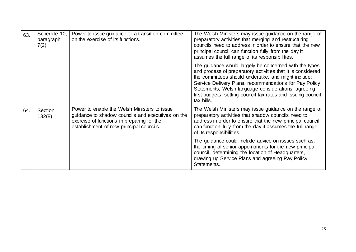| 63. | Schedule 10,<br>paragraph<br>7(2) | Power to issue guidance to a transition committee<br>on the exercise of its functions.                                                                                                      | The Welsh Ministers may issue guidance on the range of<br>preparatory activities that merging and restructuring<br>councils need to address in order to ensure that the new<br>principal council can function fully from the day it<br>assumes the full range of its responsibilities.                                                                                      |
|-----|-----------------------------------|---------------------------------------------------------------------------------------------------------------------------------------------------------------------------------------------|-----------------------------------------------------------------------------------------------------------------------------------------------------------------------------------------------------------------------------------------------------------------------------------------------------------------------------------------------------------------------------|
|     |                                   |                                                                                                                                                                                             | The guidance would largely be concerned with the types<br>and process of preparatory activities that it is considered<br>the committees should undertake, and might include:<br>Service Delivery Plans, recommendations for Pay Policy<br>Statements, Welsh language considerations, agreeing<br>first budgets, setting council tax rates and issuing council<br>tax bills. |
| 64. | Section<br>132(8)                 | Power to enable the Welsh Ministers to issue<br>guidance to shadow councils and executives on the<br>exercise of functions in preparing for the<br>establishment of new principal councils. | The Welsh Ministers may issue guidance on the range of<br>preparatory activities that shadow councils need to<br>address in order to ensure that the new principal council<br>can function fully from the day it assumes the full range<br>of its responsibilities.                                                                                                         |
|     |                                   |                                                                                                                                                                                             | The guidance could include advice on issues such as,<br>the timing of senior appointments for the new principal<br>council, determining the location of Headquarters,<br>drawing up Service Plans and agreeing Pay Policy<br>Statements.                                                                                                                                    |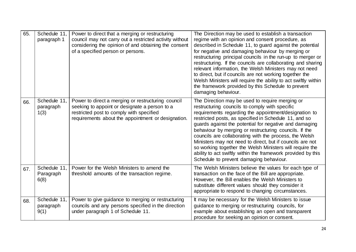| 65. | Schedule 11,<br>paragraph 1       | Power to direct that a merging or restructuring<br>council may not carry out a restricted activity without<br>considering the opinion of and obtaining the consent<br>of a specified person or persons. | The Direction may be used to establish a transaction<br>regime with an opinion and consent procedure, as<br>described in Schedule 11, to guard against the potential<br>for negative and damaging behaviour by merging or<br>restructuring principal councils in the run-up to merger or<br>restructuring. If the councils are collaborating and sharing<br>relevant information, the Welsh Ministers may not need<br>to direct, but if councils are not working together the<br>Welsh Ministers will require the ability to act swiftly within<br>the framework provided by this Schedule to prevent<br>damaging behaviour.          |
|-----|-----------------------------------|---------------------------------------------------------------------------------------------------------------------------------------------------------------------------------------------------------|---------------------------------------------------------------------------------------------------------------------------------------------------------------------------------------------------------------------------------------------------------------------------------------------------------------------------------------------------------------------------------------------------------------------------------------------------------------------------------------------------------------------------------------------------------------------------------------------------------------------------------------|
| 66. | Schedule 11,<br>paragraph<br>1(3) | Power to direct a merging or restructuring council<br>seeking to appoint or designate a person to a<br>restricted post to comply with specified<br>requirements about the appointment or designation.   | The Direction may be used to require merging or<br>restructuring councils to comply with specific<br>requirements regarding the appointment/designation to<br>restricted posts, as specified in Schedule 11, and so<br>guards against the potential for negative and damaging<br>behaviour by merging or restructuring councils. If the<br>councils are collaborating with the process, the Welsh<br>Ministers may not need to direct, but if councils are not<br>so working together the Welsh Ministers will require the<br>ability to act swiftly within the framework provided by this<br>Schedule to prevent damaging behaviour. |
| 67. | Schedule 11,<br>Paragraph<br>6(8) | Power for the Welsh Ministers to amend the<br>threshold amounts of the transaction regime.                                                                                                              | The Welsh Ministers believe the values for each type of<br>transaction on the face of the Bill are appropriate.<br>However, the Bill enables the Welsh Ministers to<br>substitute different values should they consider it<br>appropriate to respond to changing circumstances.                                                                                                                                                                                                                                                                                                                                                       |
| 68. | Schedule 11,<br>paragraph<br>9(1) | Power to give guidance to merging or restructuring<br>councils and any persons specified in the direction<br>under paragraph 1 of Schedule 11.                                                          | It may be necessary for the Welsh Ministers to issue<br>guidance to merging or restructuring councils, for<br>example about establishing an open and transparent<br>procedure for seeking an opinion or consent.                                                                                                                                                                                                                                                                                                                                                                                                                      |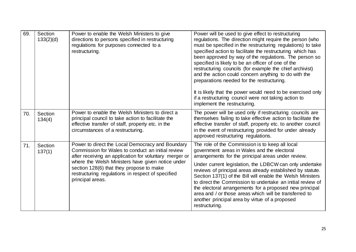| 69. | Section<br>133(2)(d) | Power to enable the Welsh Ministers to give<br>directions to persons specified in restructuring<br>regulations for purposes connected to a<br>restructuring.                                                                                                                                                                              | Power will be used to give effect to restructuring<br>regulations. The direction might require the person (who<br>must be specified in the restructuring regulations) to take<br>specified action to facilitate the restructuring which has<br>been approved by way of the regulations. The person so<br>specified is likely to be an officer of one of the<br>restructuring councils (for example the chief archivist)<br>and the action could concern anything to do with the<br>preparations needed for the restructuring.<br>It is likely that the power would need to be exercised only<br>if a restructuring council were not taking action to<br>implement the restructuring. |
|-----|----------------------|-------------------------------------------------------------------------------------------------------------------------------------------------------------------------------------------------------------------------------------------------------------------------------------------------------------------------------------------|--------------------------------------------------------------------------------------------------------------------------------------------------------------------------------------------------------------------------------------------------------------------------------------------------------------------------------------------------------------------------------------------------------------------------------------------------------------------------------------------------------------------------------------------------------------------------------------------------------------------------------------------------------------------------------------|
| 70. | Section<br>134(4)    | Power to enable the Welsh Ministers to direct a<br>principal council to take action to facilitate the<br>effective transfer of staff, property etc. in the<br>circumstances of a restructuring.                                                                                                                                           | The power will be used only if restructuring councils are<br>themselves failing to take effective action to facilitate the<br>effective transfer of staff, property etc. to another council<br>in the event of restructuring provided for under already<br>approved restructuring regulations.                                                                                                                                                                                                                                                                                                                                                                                       |
| 71. | Section<br>137(1)    | Power to direct the Local Democracy and Boundary<br>Commission for Wales to conduct an initial review<br>after receiving an application for voluntary merger or<br>where the Welsh Ministers have given notice under<br>section 128(6) that they propose to make<br>restructuring regulations in respect of specified<br>principal areas. | The role of the Commission is to keep all local<br>government areas in Wales and the electoral<br>arrangements for the principal areas under review.<br>Under current legislation, the LDBCW can only undertake<br>reviews of principal areas already established by statute.<br>Section 137(1) of the Bill will enable the Welsh Ministers<br>to direct the Commission to undertake an initial review of<br>the electoral arrangements for a proposed new principal<br>area and / or those areas which will be transferred to<br>another principal area by virtue of a proposed<br>restructuring.                                                                                   |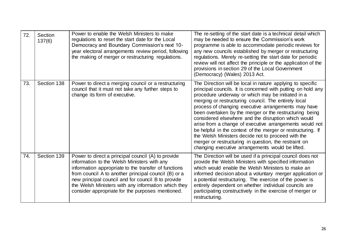| 72. | Section<br>137(6) | Power to enable the Welsh Ministers to make<br>regulations to reset the start date for the Local<br>Democracy and Boundary Commission's next 10-<br>year electoral arrangements review period, following<br>the making of merger or restructuring regulations.                                                                                                                     | The re-setting of the start date is a technical detail which<br>may be needed to ensure the Commission's work<br>programme is able to accommodate periodic reviews for<br>any new councils established by merger or restructuring<br>regulations. Merely re-setting the start date for periodic<br>review will not affect the principle or the application of the<br>provisions in section 29 of the Local Government<br>(Democracy) (Wales) 2013 Act.                                                                                                                                                                                                                                                         |
|-----|-------------------|------------------------------------------------------------------------------------------------------------------------------------------------------------------------------------------------------------------------------------------------------------------------------------------------------------------------------------------------------------------------------------|----------------------------------------------------------------------------------------------------------------------------------------------------------------------------------------------------------------------------------------------------------------------------------------------------------------------------------------------------------------------------------------------------------------------------------------------------------------------------------------------------------------------------------------------------------------------------------------------------------------------------------------------------------------------------------------------------------------|
| 73. | Section 138       | Power to direct a merging council or a restructuring<br>council that it must not take any further steps to<br>change its form of executive.                                                                                                                                                                                                                                        | The Direction will be local in nature applying to specific<br>principal councils. It is concerned with putting on hold any<br>procedure underway or which may be initiated in a<br>merging or restructuring council. The entirely local<br>process of changing executive arrangements may have<br>been overtaken by the merger or the restructuring being<br>considered elsewhere and the disruption which would<br>arise from a change of executive arrangements would not<br>be helpful in the context of the merger or restructuring. If<br>the Welsh Ministers decide not to proceed with the<br>merger or restructuring in question, the restraint on<br>changing executive arrangements would be lifted. |
| 74. | Section 139       | Power to direct a principal council (A) to provide<br>information to the Welsh Ministers with any<br>information appropriate to the transfer of functions<br>from council A to another principal council (B) or a<br>new principal council and for council B to provide<br>the Welsh Ministers with any information which they<br>consider appropriate for the purposes mentioned. | The Direction will be used if a principal council does not<br>provide the Welsh Ministers with specified information<br>which would enable the Welsh Ministers to make an<br>informed decision about a voluntary merger application or<br>a potential restructuring. The exercise of the power is<br>entirely dependent on whether individual councils are<br>participating constructively in the exercise of merger or<br>restructuring.                                                                                                                                                                                                                                                                      |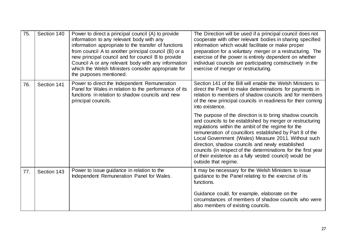| 75. | Section 140 | Power to direct a principal council (A) to provide<br>information to any relevant body with any<br>information appropriate to the transfer of functions<br>from council A to another principal council (B) or a<br>new principal council and for council B to provide<br>Council A or any relevant body with any information<br>which the Welsh Ministers consider appropriate for<br>the purposes mentioned. | The Direction will be used if a principal council does not<br>cooperate with other relevant bodies in sharing specified<br>information which would facilitate or make proper<br>preparation for a voluntary merger or a restructuring. The<br>exercise of the power is entirely dependent on whether<br>individual councils are participating constructively in the<br>exercise of merger or restructuring.                                                                                           |
|-----|-------------|---------------------------------------------------------------------------------------------------------------------------------------------------------------------------------------------------------------------------------------------------------------------------------------------------------------------------------------------------------------------------------------------------------------|-------------------------------------------------------------------------------------------------------------------------------------------------------------------------------------------------------------------------------------------------------------------------------------------------------------------------------------------------------------------------------------------------------------------------------------------------------------------------------------------------------|
| 76. | Section 141 | Power to direct the Independent Remuneration<br>Panel for Wales in relation to the performance of its<br>functions in relation to shadow councils and new<br>principal councils.                                                                                                                                                                                                                              | Section 141 of the Bill will enable the Welsh Ministers to<br>direct the Panel to make determinations for payments in<br>relation to members of shadow councils and for members<br>of the new principal councils in readiness for their coming<br>into existence.                                                                                                                                                                                                                                     |
|     |             |                                                                                                                                                                                                                                                                                                                                                                                                               | The purpose of the direction is to bring shadow councils<br>and councils to be established by merger or restructuring<br>regulations within the ambit of the regime for the<br>remuneration of councillors established by Part 8 of the<br>Local Government (Wales) Measure 2011. Without such<br>direction, shadow councils and newly established<br>councils (in respect of the determinations for the first year<br>of their existence as a fully vested council) would be<br>outside that regime. |
| 77. | Section 143 | Power to issue guidance in relation to the<br>Independent Remuneration Panel for Wales.                                                                                                                                                                                                                                                                                                                       | It may be necessary for the Welsh Ministers to issue<br>guidance to the Panel relating to the exercise of its<br>functions.                                                                                                                                                                                                                                                                                                                                                                           |
|     |             |                                                                                                                                                                                                                                                                                                                                                                                                               | Guidance could, for example, elaborate on the<br>circumstances of members of shadow councils who were<br>also members of existing councils.                                                                                                                                                                                                                                                                                                                                                           |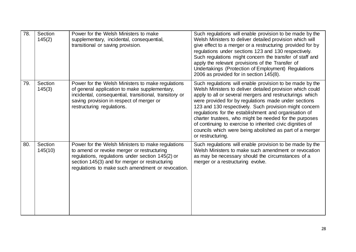| 78. | Section<br>145(2)  | Power for the Welsh Ministers to make<br>supplementary, incidental, consequential,<br>transitional or saving provision.                                                                                                                                    | Such regulations will enable provision to be made by the<br>Welsh Ministers to deliver detailed provision which will<br>give effect to a merger or a restructuring provided for by<br>regulations under sections 123 and 130 respectively.<br>Such regulations might concern the transfer of staff and<br>apply the relevant provisions of the Transfer of<br>Undertakings (Protection of Employment) Regulations<br>2006 as provided for in section 145(8).                                                                                                        |
|-----|--------------------|------------------------------------------------------------------------------------------------------------------------------------------------------------------------------------------------------------------------------------------------------------|---------------------------------------------------------------------------------------------------------------------------------------------------------------------------------------------------------------------------------------------------------------------------------------------------------------------------------------------------------------------------------------------------------------------------------------------------------------------------------------------------------------------------------------------------------------------|
| 79. | Section<br>145(3)  | Power for the Welsh Ministers to make regulations<br>of general application to make supplementary,<br>incidental, consequential, transitional, transitory or<br>saving provision in respect of merger or<br>restructuring regulations.                     | Such regulations will enable provision to be made by the<br>Welsh Ministers to deliver detailed provision which could<br>apply to all or several mergers and restructurings which<br>were provided for by regulations made under sections<br>123 and 130 respectively. Such provision might concern<br>regulations for the establishment and organisation of<br>charter trustees, who might be needed for the purposes<br>of continuing to exercise to inherited civic dignities of<br>councils which were being abolished as part of a merger<br>or restructuring. |
| 80. | Section<br>145(10) | Power for the Welsh Ministers to make regulations<br>to amend or revoke merger or restructuring<br>regulations, regulations under section 145(2) or<br>section 145(3) and for merger or restructuring<br>regulations to make such amendment or revocation. | Such regulations will enable provision to be made by the<br>Welsh Ministers to make such amendment or revocation<br>as may be necessary should the circumstances of a<br>merger or a restructuring evolve.                                                                                                                                                                                                                                                                                                                                                          |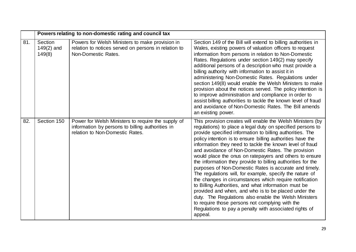|     | Powers relating to non-domestic rating and council tax |                                                                                                                                           |                                                                                                                                                                                                                                                                                                                                                                                                                                                                                                                                                                                                                                                                                                                                                                                                                                                                                                                                                                                   |
|-----|--------------------------------------------------------|-------------------------------------------------------------------------------------------------------------------------------------------|-----------------------------------------------------------------------------------------------------------------------------------------------------------------------------------------------------------------------------------------------------------------------------------------------------------------------------------------------------------------------------------------------------------------------------------------------------------------------------------------------------------------------------------------------------------------------------------------------------------------------------------------------------------------------------------------------------------------------------------------------------------------------------------------------------------------------------------------------------------------------------------------------------------------------------------------------------------------------------------|
| 81. | Section<br>$149(2)$ and<br>149(8)                      | Powers for Welsh Ministers to make provision in<br>relation to notices served on persons in relation to<br>Non-Domestic Rates.            | Section 149 of the Bill will extend to billing authorities in<br>Wales, existing powers of valuation officers to request<br>information from persons in relation to Non-Domestic<br>Rates. Regulations under section 149(2) may specify<br>additional persons of a description who must provide a<br>billing authority with information to assist it in<br>administering Non-Domestic Rates. Regulations under<br>section 149(8) would enable the Welsh Ministers to make<br>provision about the notices served. The policy intention is<br>to improve administration and compliance in order to<br>assist billing authorities to tackle the known level of fraud<br>and avoidance of Non-Domestic Rates. The Bill amends<br>an existing power.                                                                                                                                                                                                                                   |
| 82. | Section 150                                            | Power for Welsh Ministers to require the supply of<br>information by persons to billing authorities in<br>relation to Non-Domestic Rates. | This provision creates will enable the Welsh Ministers (by<br>regulations) to place a legal duty on specified persons to<br>provide specified information to billing authorities. The<br>policy intention is to ensure billing authorities have the<br>information they need to tackle the known level of fraud<br>and avoidance of Non-Domestic Rates. The provision<br>would place the onus on ratepayers and others to ensure<br>the information they provide to billing authorities for the<br>purposes of Non-Domestic Rates is accurate and timely.<br>The regulations will, for example, specify the nature of<br>the changes in circumstances which require notification<br>to Billing Authorities, and what information must be<br>provided and when, and who is to be placed under the<br>duty. The Regulations also enable the Welsh Ministers<br>to require those persons not complying with the<br>Regulations to pay a penalty with associated rights of<br>appeal. |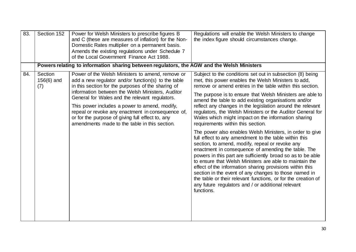| 83.        | Section 152                                                                                | Power for Welsh Ministers to prescribe figures B<br>and C (these are measures of inflation) for the Non-<br>Domestic Rates multiplier on a permanent basis.<br>Amends the existing regulations under Schedule 7<br>of the Local Government Finance Act 1988.                                                                                                                                                                                                                   | Regulations will enable the Welsh Ministers to change<br>the index figure should circumstances change.                                                                                                                                                                                                                                                                                                                                                                                                                                                                                                                                                                                                                                                                                                                                                                                                                                                                                                                                                                                                                                        |  |
|------------|--------------------------------------------------------------------------------------------|--------------------------------------------------------------------------------------------------------------------------------------------------------------------------------------------------------------------------------------------------------------------------------------------------------------------------------------------------------------------------------------------------------------------------------------------------------------------------------|-----------------------------------------------------------------------------------------------------------------------------------------------------------------------------------------------------------------------------------------------------------------------------------------------------------------------------------------------------------------------------------------------------------------------------------------------------------------------------------------------------------------------------------------------------------------------------------------------------------------------------------------------------------------------------------------------------------------------------------------------------------------------------------------------------------------------------------------------------------------------------------------------------------------------------------------------------------------------------------------------------------------------------------------------------------------------------------------------------------------------------------------------|--|
|            | Powers relating to information sharing between regulators, the AGW and the Welsh Ministers |                                                                                                                                                                                                                                                                                                                                                                                                                                                                                |                                                                                                                                                                                                                                                                                                                                                                                                                                                                                                                                                                                                                                                                                                                                                                                                                                                                                                                                                                                                                                                                                                                                               |  |
| 84.<br>(7) | Section<br>$156(6)$ and                                                                    | Power of the Welsh Ministers to amend, remove or<br>add a new regulator and/or function(s) to the table<br>in this section for the purposes of the sharing of<br>information between the Welsh Ministers, Auditor<br>General for Wales and the relevant regulators.<br>This power includes a power to amend, modify,<br>repeal or revoke any enactment in consequence of,<br>or for the purpose of giving full effect to, any<br>amendments made to the table in this section. | Subject to the conditions set out in subsection (8) being<br>met, this power enables the Welsh Ministers to add,<br>remove or amend entries in the table within this section.<br>The purpose is to ensure that Welsh Ministers are able to<br>amend the table to add existing organisations and/or<br>reflect any changes in the legislation around the relevant<br>regulators, the Welsh Ministers or the Auditor General for<br>Wales which might impact on the information sharing<br>requirements within this section.<br>The power also enables Welsh Ministers, in order to give<br>full effect to any amendment to the table within this<br>section, to amend, modify, repeal or revoke any<br>enactment in consequence of amending the table. The<br>powers in this part are sufficiently broad so as to be able<br>to ensure that Welsh Ministers are able to maintain the<br>effect of the information sharing provisions within this<br>section in the event of any changes to those named in<br>the table or their relevant functions, or for the creation of<br>any future regulators and / or additional relevant<br>functions. |  |